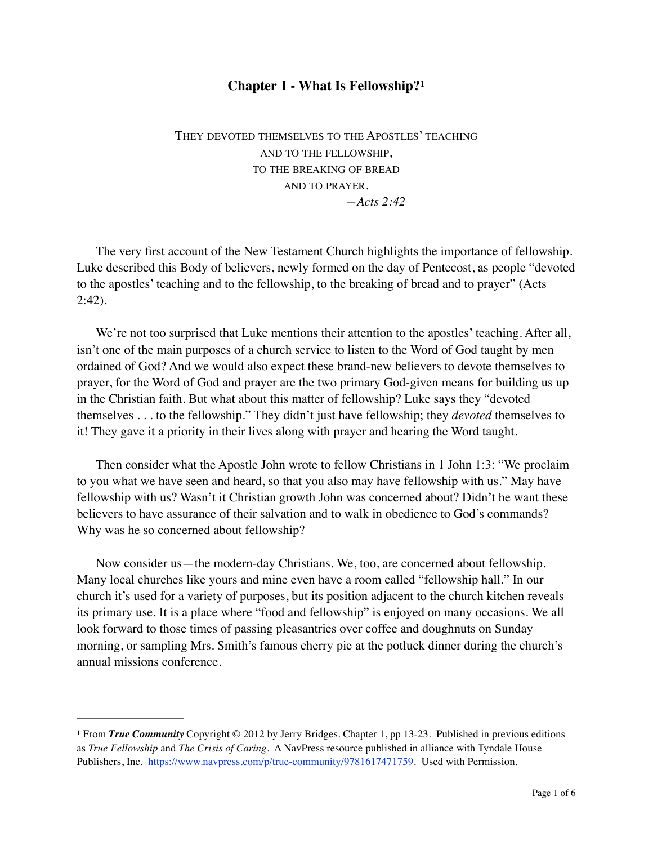# <span id="page-0-1"></span>**Chapter 1 - What Is Fellowship[?1](#page-0-0)**

THEY DEVOTED THEMSELVES TO THE APOSTLES' TEACHING AND TO THE FELLOWSHIP, TO THE BREAKING OF BREAD AND TO PRAYER. *—Acts 2:42*

The very first account of the New Testament Church highlights the importance of fellowship. Luke described this Body of believers, newly formed on the day of Pentecost, as people "devoted to the apostles' teaching and to the fellowship, to the breaking of bread and to prayer" (Acts 2:42).

We're not too surprised that Luke mentions their attention to the apostles' teaching. After all, isn't one of the main purposes of a church service to listen to the Word of God taught by men ordained of God? And we would also expect these brand-new believers to devote themselves to prayer, for the Word of God and prayer are the two primary God-given means for building us up in the Christian faith. But what about this matter of fellowship? Luke says they "devoted themselves . . . to the fellowship." They didn't just have fellowship; they *devoted* themselves to it! They gave it a priority in their lives along with prayer and hearing the Word taught.

Then consider what the Apostle John wrote to fellow Christians in 1 John 1:3: "We proclaim to you what we have seen and heard, so that you also may have fellowship with us." May have fellowship with us? Wasn't it Christian growth John was concerned about? Didn't he want these believers to have assurance of their salvation and to walk in obedience to God's commands? Why was he so concerned about fellowship?

Now consider us—the modern-day Christians. We, too, are concerned about fellowship. Many local churches like yours and mine even have a room called "fellowship hall." In our church it's used for a variety of purposes, but its position adjacent to the church kitchen reveals its primary use. It is a place where "food and fellowship" is enjoyed on many occasions. We all look forward to those times of passing pleasantries over coffee and doughnuts on Sunday morning, or sampling Mrs. Smith's famous cherry pie at the potluck dinner during the church's annual missions conference.

<span id="page-0-0"></span>From *True Community* Copyright © 2012 by Jerry Bridges. Chapter 1, pp 13-23. Published in previous editions [1](#page-0-1) as *True Fellowship* and *The Crisis of Caring*. A NavPress resource published in alliance with Tyndale House Publishers, Inc. https://www.navpress.com/p/true-community/9781617471759. Used with Permission.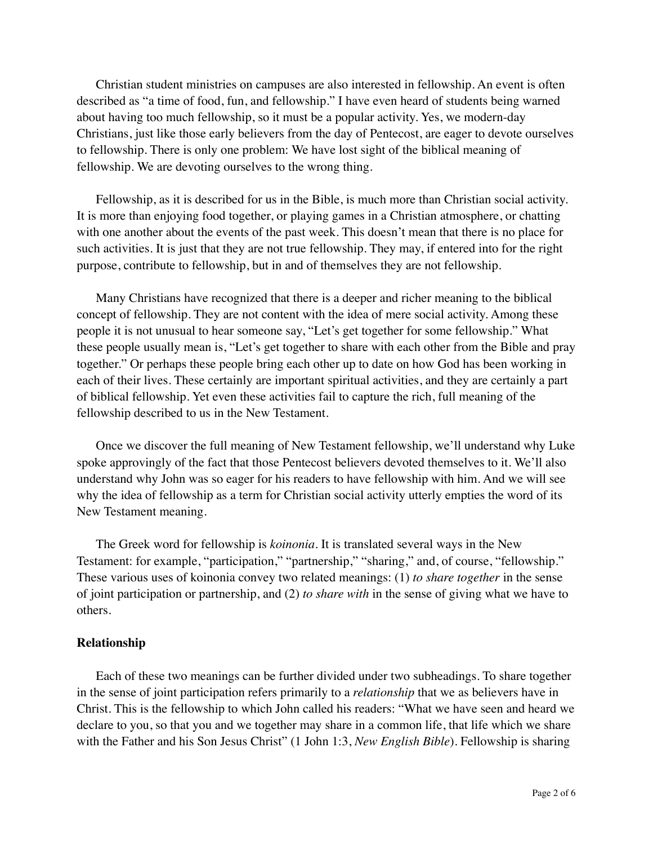Christian student ministries on campuses are also interested in fellowship. An event is often described as "a time of food, fun, and fellowship." I have even heard of students being warned about having too much fellowship, so it must be a popular activity. Yes, we modern-day Christians, just like those early believers from the day of Pentecost, are eager to devote ourselves to fellowship. There is only one problem: We have lost sight of the biblical meaning of fellowship. We are devoting ourselves to the wrong thing.

Fellowship, as it is described for us in the Bible, is much more than Christian social activity. It is more than enjoying food together, or playing games in a Christian atmosphere, or chatting with one another about the events of the past week. This doesn't mean that there is no place for such activities. It is just that they are not true fellowship. They may, if entered into for the right purpose, contribute to fellowship, but in and of themselves they are not fellowship.

Many Christians have recognized that there is a deeper and richer meaning to the biblical concept of fellowship. They are not content with the idea of mere social activity. Among these people it is not unusual to hear someone say, "Let's get together for some fellowship." What these people usually mean is, "Let's get together to share with each other from the Bible and pray together." Or perhaps these people bring each other up to date on how God has been working in each of their lives. These certainly are important spiritual activities, and they are certainly a part of biblical fellowship. Yet even these activities fail to capture the rich, full meaning of the fellowship described to us in the New Testament.

Once we discover the full meaning of New Testament fellowship, we'll understand why Luke spoke approvingly of the fact that those Pentecost believers devoted themselves to it. We'll also understand why John was so eager for his readers to have fellowship with him. And we will see why the idea of fellowship as a term for Christian social activity utterly empties the word of its New Testament meaning.

The Greek word for fellowship is *koinonia*. It is translated several ways in the New Testament: for example, "participation," "partnership," "sharing," and, of course, "fellowship." These various uses of koinonia convey two related meanings: (1) *to share together* in the sense of joint participation or partnership, and (2) *to share with* in the sense of giving what we have to others.

#### **Relationship**

Each of these two meanings can be further divided under two subheadings. To share together in the sense of joint participation refers primarily to a *relationship* that we as believers have in Christ. This is the fellowship to which John called his readers: "What we have seen and heard we declare to you, so that you and we together may share in a common life, that life which we share with the Father and his Son Jesus Christ" (1 John 1:3, *New English Bible*). Fellowship is sharing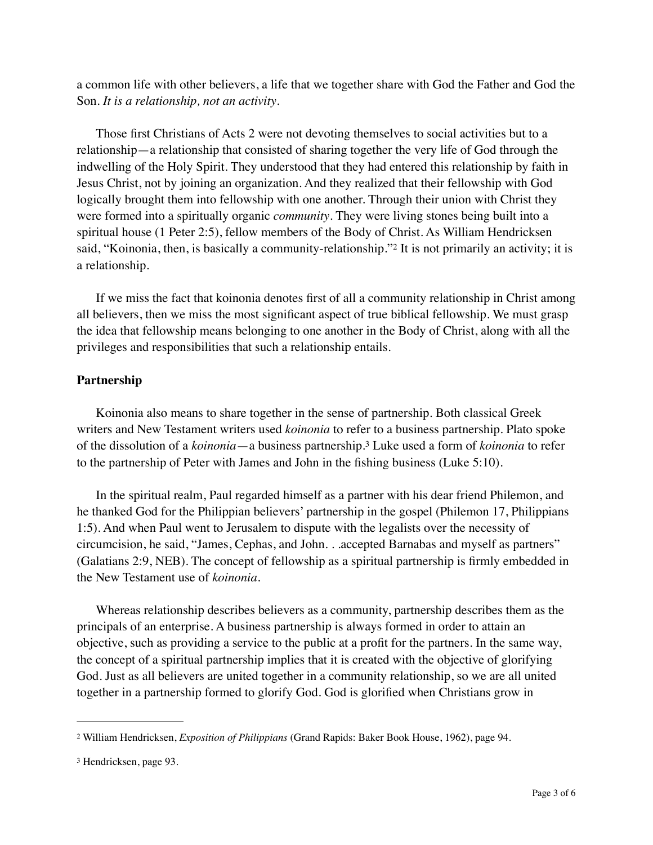a common life with other believers, a life that we together share with God the Father and God the Son. *It is a relationship, not an activity*.

Those first Christians of Acts 2 were not devoting themselves to social activities but to a relationship—a relationship that consisted of sharing together the very life of God through the indwelling of the Holy Spirit. They understood that they had entered this relationship by faith in Jesus Christ, not by joining an organization. And they realized that their fellowship with God logically brought them into fellowship with one another. Through their union with Christ they were formed into a spiritually organic *community*. They were living stones being built into a spiritual house (1 Peter 2:5), fellow members of the Body of Christ. As William Hendricksen said,"Koinonia, then, is basically a community-relationship."<sup>[2](#page-2-0)</sup> It is not primarily an activity; it is a relationship.

<span id="page-2-2"></span>If we miss the fact that koinonia denotes first of all a community relationship in Christ among all believers, then we miss the most significant aspect of true biblical fellowship. We must grasp the idea that fellowship means belonging to one another in the Body of Christ, along with all the privileges and responsibilities that such a relationship entails.

### **Partnership**

<span id="page-2-3"></span>Koinonia also means to share together in the sense of partnership. Both classical Greek writers and New Testament writers used *koinonia* to refer to a business partnership. Plato spoke ofthe dissolution of a *koinonia*—a business partnership.<sup>3</sup> Luke used a form of *koinonia* to refer to the partnership of Peter with James and John in the fishing business (Luke 5:10).

In the spiritual realm, Paul regarded himself as a partner with his dear friend Philemon, and he thanked God for the Philippian believers' partnership in the gospel (Philemon 17, Philippians 1:5). And when Paul went to Jerusalem to dispute with the legalists over the necessity of circumcision, he said, "James, Cephas, and John. . .accepted Barnabas and myself as partners" (Galatians 2:9, NEB). The concept of fellowship as a spiritual partnership is firmly embedded in the New Testament use of *koinonia*.

Whereas relationship describes believers as a community, partnership describes them as the principals of an enterprise. A business partnership is always formed in order to attain an objective, such as providing a service to the public at a profit for the partners. In the same way, the concept of a spiritual partnership implies that it is created with the objective of glorifying God. Just as all believers are united together in a community relationship, so we are all united together in a partnership formed to glorify God. God is glorified when Christians grow in

<span id="page-2-0"></span>William Hendricksen, *Exposition of Philippians* (Grand Rapids: Baker Book House, 1962), page 94. [2](#page-2-2)

<span id="page-2-1"></span><sup>&</sup>lt;sup>[3](#page-2-3)</sup> Hendricksen, page 93.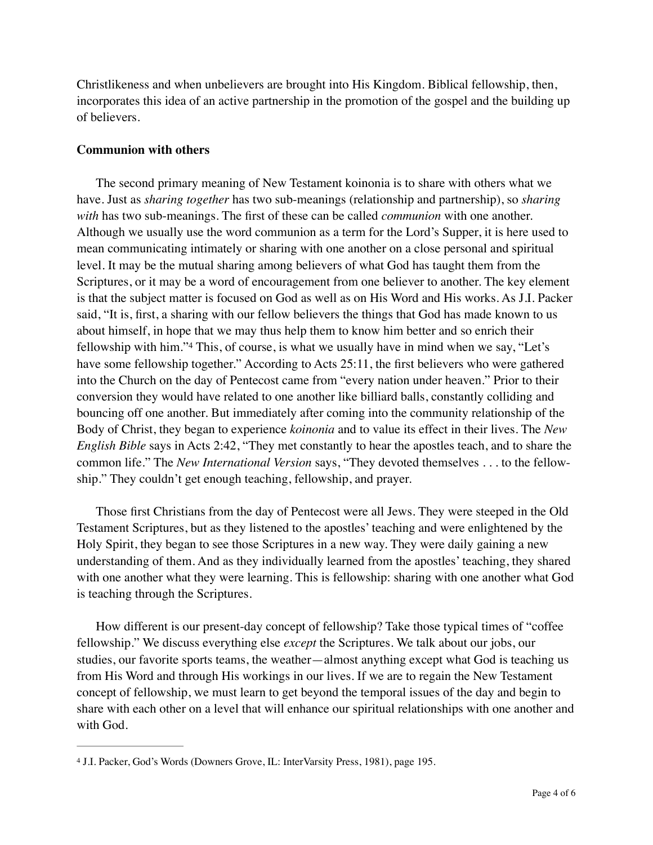Christlikeness and when unbelievers are brought into His Kingdom. Biblical fellowship, then, incorporates this idea of an active partnership in the promotion of the gospel and the building up of believers.

## **Communion with others**

<span id="page-3-1"></span>The second primary meaning of New Testament koinonia is to share with others what we have. Just as *sharing together* has two sub-meanings (relationship and partnership), so *sharing with* has two sub-meanings. The first of these can be called *communion* with one another. Although we usually use the word communion as a term for the Lord's Supper, it is here used to mean communicating intimately or sharing with one another on a close personal and spiritual level. It may be the mutual sharing among believers of what God has taught them from the Scriptures, or it may be a word of encouragement from one believer to another. The key element is that the subject matter is focused on God as well as on His Word and His works. As J.I. Packer said, "It is, first, a sharing with our fellow believers the things that God has made known to us about himself, in hope that we may thus help them to know him better and so enrich their fellowshipwith him."<sup>[4](#page-3-0)</sup> This, of course, is what we usually have in mind when we say, "Let's have some fellowship together." According to Acts 25:11, the first believers who were gathered into the Church on the day of Pentecost came from "every nation under heaven." Prior to their conversion they would have related to one another like billiard balls, constantly colliding and bouncing off one another. But immediately after coming into the community relationship of the Body of Christ, they began to experience *koinonia* and to value its effect in their lives. The *New English Bible* says in Acts 2:42, "They met constantly to hear the apostles teach, and to share the common life." The *New International Version* says, "They devoted themselves . . . to the fellowship." They couldn't get enough teaching, fellowship, and prayer.

Those first Christians from the day of Pentecost were all Jews. They were steeped in the Old Testament Scriptures, but as they listened to the apostles' teaching and were enlightened by the Holy Spirit, they began to see those Scriptures in a new way. They were daily gaining a new understanding of them. And as they individually learned from the apostles' teaching, they shared with one another what they were learning. This is fellowship: sharing with one another what God is teaching through the Scriptures.

How different is our present-day concept of fellowship? Take those typical times of "coffee fellowship." We discuss everything else *except* the Scriptures. We talk about our jobs, our studies, our favorite sports teams, the weather—almost anything except what God is teaching us from His Word and through His workings in our lives. If we are to regain the New Testament concept of fellowship, we must learn to get beyond the temporal issues of the day and begin to share with each other on a level that will enhance our spiritual relationships with one another and with God.

<span id="page-3-0"></span><sup>&</sup>lt;sup>[4](#page-3-1)</sup> J.I. Packer, God's Words (Downers Grove, IL: InterVarsity Press, 1981), page 195.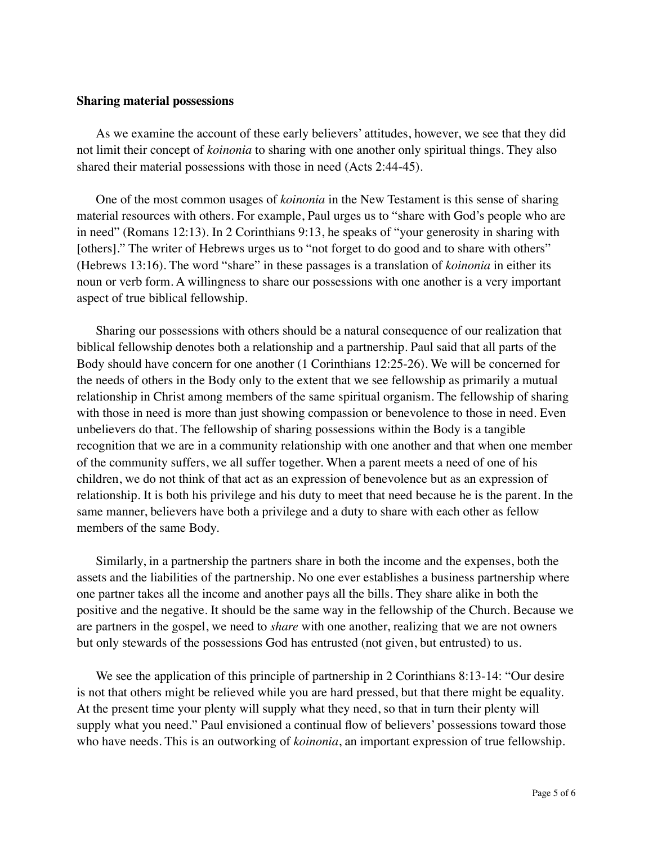#### **Sharing material possessions**

As we examine the account of these early believers' attitudes, however, we see that they did not limit their concept of *koinonia* to sharing with one another only spiritual things. They also shared their material possessions with those in need (Acts 2:44-45).

One of the most common usages of *koinonia* in the New Testament is this sense of sharing material resources with others. For example, Paul urges us to "share with God's people who are in need" (Romans 12:13). In 2 Corinthians 9:13, he speaks of "your generosity in sharing with [others]." The writer of Hebrews urges us to "not forget to do good and to share with others" (Hebrews 13:16). The word "share" in these passages is a translation of *koinonia* in either its noun or verb form. A willingness to share our possessions with one another is a very important aspect of true biblical fellowship.

Sharing our possessions with others should be a natural consequence of our realization that biblical fellowship denotes both a relationship and a partnership. Paul said that all parts of the Body should have concern for one another (1 Corinthians 12:25-26). We will be concerned for the needs of others in the Body only to the extent that we see fellowship as primarily a mutual relationship in Christ among members of the same spiritual organism. The fellowship of sharing with those in need is more than just showing compassion or benevolence to those in need. Even unbelievers do that. The fellowship of sharing possessions within the Body is a tangible recognition that we are in a community relationship with one another and that when one member of the community suffers, we all suffer together. When a parent meets a need of one of his children, we do not think of that act as an expression of benevolence but as an expression of relationship. It is both his privilege and his duty to meet that need because he is the parent. In the same manner, believers have both a privilege and a duty to share with each other as fellow members of the same Body.

Similarly, in a partnership the partners share in both the income and the expenses, both the assets and the liabilities of the partnership. No one ever establishes a business partnership where one partner takes all the income and another pays all the bills. They share alike in both the positive and the negative. It should be the same way in the fellowship of the Church. Because we are partners in the gospel, we need to *share* with one another, realizing that we are not owners but only stewards of the possessions God has entrusted (not given, but entrusted) to us.

We see the application of this principle of partnership in 2 Corinthians 8:13-14: "Our desire" is not that others might be relieved while you are hard pressed, but that there might be equality. At the present time your plenty will supply what they need, so that in turn their plenty will supply what you need." Paul envisioned a continual flow of believers' possessions toward those who have needs. This is an outworking of *koinonia*, an important expression of true fellowship.